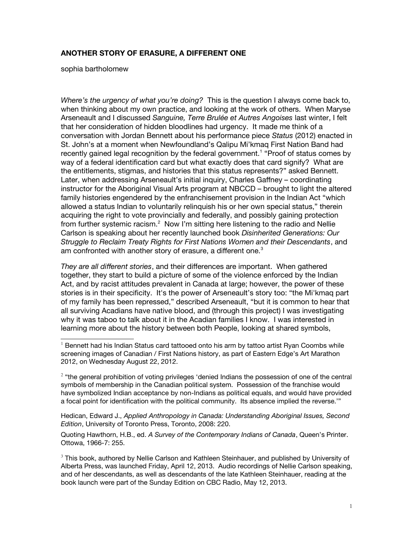## **ANOTHER STORY OF ERASURE, A DIFFERENT ONE**

sophia bartholomew

*Where's the urgency of what you're doing?* This is the question I always come back to, when thinking about my own practice, and looking at the work of others. When Maryse Arseneault and I discussed *Sanguine, Terre Brulée et Autres Angoises* last winter, I felt that her consideration of hidden bloodlines had urgency. It made me think of a conversation with Jordan Bennett about his performance piece *Status* (2012) enacted in St. John's at a moment when Newfoundland's Qalipu Mi'kmaq First Nation Band had recently gained legal recognition by the federal government.<sup>[1](#page-0-0)</sup> "Proof of status comes by way of a federal identifcation card but what exactly does that card signify? What are the entitlements, stigmas, and histories that this status represents?" asked Bennett. Later, when addressing Arseneault's initial inquiry, Charles Gafney – coordinating instructor for the Aboriginal Visual Arts program at NBCCD – brought to light the altered family histories engendered by the enfranchisement provision in the Indian Act "which allowed a status Indian to voluntarily relinquish his or her own special status," therein acquiring the right to vote provincially and federally, and possibly gaining protection from further systemic racism. $^2$  $^2$  Now I'm sitting here listening to the radio and Nellie Carlson is speaking about her recently launched book *Disinherited Generations: Our Struggle to Reclaim Treaty Rights for First Nations Women and their Descendants*, and am confronted with another story of erasure, a different one. $3$ 

*They are all diferent stories*, and their diferences are important. When gathered together, they start to build a picture of some of the violence enforced by the Indian Act, and by racist attitudes prevalent in Canada at large; however, the power of these stories is in their specificity. It's the power of Arseneault's story too: "the Mi'kmaq part of my family has been repressed," described Arseneault, "but it is common to hear that all surviving Acadians have native blood, and (through this project) I was investigating why it was taboo to talk about it in the Acadian families I know. I was interested in learning more about the history between both People, looking at shared symbols,

Hedican, Edward J., *Applied Anthropology in Canada: Understanding Aboriginal Issues, Second Edition*, University of Toronto Press, Toronto, 2008: 220.

Quoting Hawthorn, H.B., ed. *A Survey of the Contemporary Indians of Canada*, Queen's Printer. Ottowa, 1966-7: 255.

<span id="page-0-2"></span> $3$  This book, authored by Nellie Carlson and Kathleen Steinhauer, and published by University of Alberta Press, was launched Friday, April 12, 2013. Audio recordings of Nellie Carlson speaking, and of her descendants, as well as descendants of the late Kathleen Steinhauer, reading at the book launch were part of the Sunday Edition on CBC Radio, May 12, 2013.

<span id="page-0-0"></span> $1$  Bennett had his Indian Status card tattooed onto his arm by tattoo artist Ryan Coombs while screening images of Canadian / First Nations history, as part of Eastern Edge's Art Marathon 2012, on Wednesday August 22, 2012.

<span id="page-0-1"></span> $2$  "the general prohibition of voting privileges 'denied Indians the possession of one of the central symbols of membership in the Canadian political system. Possession of the franchise would have symbolized Indian acceptance by non-Indians as political equals, and would have provided a focal point for identifcation with the political community. Its absence implied the reverse.'"